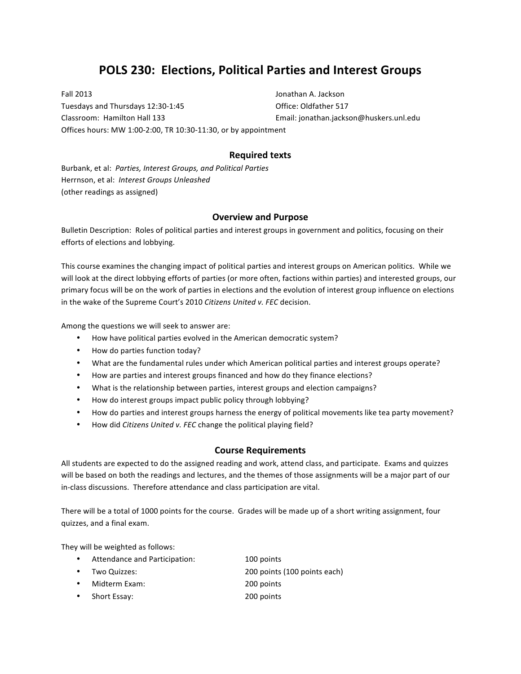# **POLS 230: Elections, Political Parties and Interest Groups**

Fall 2013 **Fall 2013 Contains the Contract of Containing Service Contract of Containing Service Contract of Containing Service Contract of Containing Service Contract of Containing Service Contract of Containing Service** Tuesdays and Thursdays 12:30-1:45 Chapter Contract Contract Office: Oldfather 517 Classroom: Hamilton Hall 133 Email: jonathan.jackson@huskers.unl.edu Offices hours: MW 1:00-2:00, TR 10:30-11:30, or by appointment

## **Required texts**

Burbank, et al: Parties, Interest Groups, and Political Parties Herrnson, et al: *Interest Groups Unleashed* (other readings as assigned)

# **Overview and Purpose**

Bulletin Description: Roles of political parties and interest groups in government and politics, focusing on their efforts of elections and lobbying.

This course examines the changing impact of political parties and interest groups on American politics. While we will look at the direct lobbying efforts of parties (or more often, factions within parties) and interested groups, our primary focus will be on the work of parties in elections and the evolution of interest group influence on elections in the wake of the Supreme Court's 2010 Citizens United v. FEC decision.

Among the questions we will seek to answer are:

- How have political parties evolved in the American democratic system?
- How do parties function today?
- What are the fundamental rules under which American political parties and interest groups operate?
- How are parties and interest groups financed and how do they finance elections?
- What is the relationship between parties, interest groups and election campaigns?
- How do interest groups impact public policy through lobbying?
- How do parties and interest groups harness the energy of political movements like tea party movement?
- How did *Citizens United v. FEC* change the political playing field?

### **Course Requirements**

All students are expected to do the assigned reading and work, attend class, and participate. Exams and quizzes will be based on both the readings and lectures, and the themes of those assignments will be a major part of our in-class discussions. Therefore attendance and class participation are vital.

There will be a total of 1000 points for the course. Grades will be made up of a short writing assignment, four quizzes, and a final exam.

They will be weighted as follows:

| Attendance and Participation:<br>100 points |  |
|---------------------------------------------|--|
|---------------------------------------------|--|

- Two Quizzes: 200 points (100 points each)
- Midterm Exam: 200 points
- Short Essay: 200 points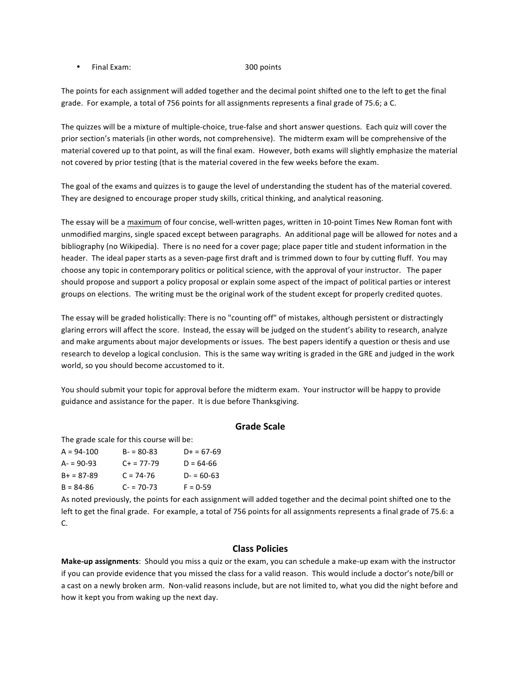• Final Exam: 300 points

The points for each assignment will added together and the decimal point shifted one to the left to get the final grade. For example, a total of 756 points for all assignments represents a final grade of 75.6; a C.

The quizzes will be a mixture of multiple-choice, true-false and short answer questions. Each quiz will cover the prior section's materials (in other words, not comprehensive). The midterm exam will be comprehensive of the material covered up to that point, as will the final exam. However, both exams will slightly emphasize the material not covered by prior testing (that is the material covered in the few weeks before the exam.

The goal of the exams and quizzes is to gauge the level of understanding the student has of the material covered. They are designed to encourage proper study skills, critical thinking, and analytical reasoning.

The essay will be a maximum of four concise, well-written pages, written in 10-point Times New Roman font with unmodified margins, single spaced except between paragraphs. An additional page will be allowed for notes and a bibliography (no Wikipedia). There is no need for a cover page; place paper title and student information in the header. The ideal paper starts as a seven-page first draft and is trimmed down to four by cutting fluff. You may choose any topic in contemporary politics or political science, with the approval of your instructor. The paper should propose and support a policy proposal or explain some aspect of the impact of political parties or interest groups on elections. The writing must be the original work of the student except for properly credited quotes.

The essay will be graded holistically: There is no "counting off" of mistakes, although persistent or distractingly glaring errors will affect the score. Instead, the essay will be judged on the student's ability to research, analyze and make arguments about major developments or issues. The best papers identify a question or thesis and use research to develop a logical conclusion. This is the same way writing is graded in the GRE and judged in the work world, so you should become accustomed to it.

You should submit your topic for approval before the midterm exam. Your instructor will be happy to provide guidance and assistance for the paper. It is due before Thanksgiving.

#### **Grade Scale**

The grade scale for this course will be:

| $A = 94 - 100$ | $B - 80 - 83$ | $D+ = 67-69$  |
|----------------|---------------|---------------|
| $A - 90 - 93$  | $C+ = 77-79$  | $D = 64-66$   |
| $B+ = 87-89$   | $C = 74-76$   | $D - 60 - 63$ |
| $B = 84-86$    | $C = 70-73$   | $F = 0-59$    |
|                |               |               |

As noted previously, the points for each assignment will added together and the decimal point shifted one to the left to get the final grade. For example, a total of 756 points for all assignments represents a final grade of 75.6: a C.

#### **Class Policies**

**Make-up** assignments: Should you miss a quiz or the exam, you can schedule a make-up exam with the instructor if you can provide evidence that you missed the class for a valid reason. This would include a doctor's note/bill or a cast on a newly broken arm. Non-valid reasons include, but are not limited to, what you did the night before and how it kept you from waking up the next day.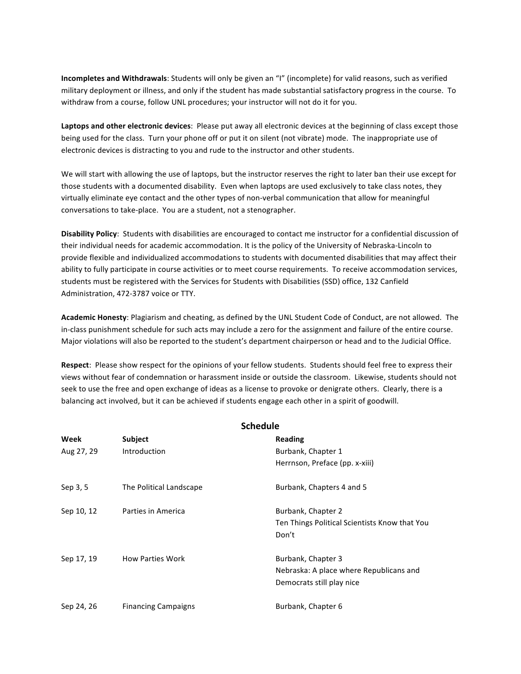**Incompletes and Withdrawals**: Students will only be given an "I" (incomplete) for valid reasons, such as verified military deployment or illness, and only if the student has made substantial satisfactory progress in the course. To withdraw from a course, follow UNL procedures; your instructor will not do it for you.

Laptops and other electronic devices: Please put away all electronic devices at the beginning of class except those being used for the class. Turn your phone off or put it on silent (not vibrate) mode. The inappropriate use of electronic devices is distracting to you and rude to the instructor and other students.

We will start with allowing the use of laptops, but the instructor reserves the right to later ban their use except for those students with a documented disability. Even when laptops are used exclusively to take class notes, they virtually eliminate eye contact and the other types of non-verbal communication that allow for meaningful conversations to take-place. You are a student, not a stenographer.

Disability Policy: Students with disabilities are encouraged to contact me instructor for a confidential discussion of their individual needs for academic accommodation. It is the policy of the University of Nebraska-Lincoln to provide flexible and individualized accommodations to students with documented disabilities that may affect their ability to fully participate in course activities or to meet course requirements. To receive accommodation services, students must be registered with the Services for Students with Disabilities (SSD) office, 132 Canfield Administration, 472-3787 voice or TTY.

Academic Honesty: Plagiarism and cheating, as defined by the UNL Student Code of Conduct, are not allowed. The in-class punishment schedule for such acts may include a zero for the assignment and failure of the entire course. Major violations will also be reported to the student's department chairperson or head and to the Judicial Office.

**Respect:** Please show respect for the opinions of your fellow students. Students should feel free to express their views without fear of condemnation or harassment inside or outside the classroom. Likewise, students should not seek to use the free and open exchange of ideas as a license to provoke or denigrate others. Clearly, there is a balancing act involved, but it can be achieved if students engage each other in a spirit of goodwill.

| <b>Schedule</b> |                            |                                               |  |  |
|-----------------|----------------------------|-----------------------------------------------|--|--|
| Week            | Subject                    | Reading                                       |  |  |
| Aug 27, 29      | Introduction               | Burbank, Chapter 1                            |  |  |
|                 |                            | Herrnson, Preface (pp. x-xiii)                |  |  |
| Sep 3, 5        | The Political Landscape    | Burbank, Chapters 4 and 5                     |  |  |
| Sep 10, 12      | Parties in America         | Burbank, Chapter 2                            |  |  |
|                 |                            | Ten Things Political Scientists Know that You |  |  |
|                 |                            | Don't                                         |  |  |
| Sep 17, 19      | <b>How Parties Work</b>    | Burbank, Chapter 3                            |  |  |
|                 |                            | Nebraska: A place where Republicans and       |  |  |
|                 |                            | Democrats still play nice                     |  |  |
| Sep 24, 26      | <b>Financing Campaigns</b> | Burbank, Chapter 6                            |  |  |